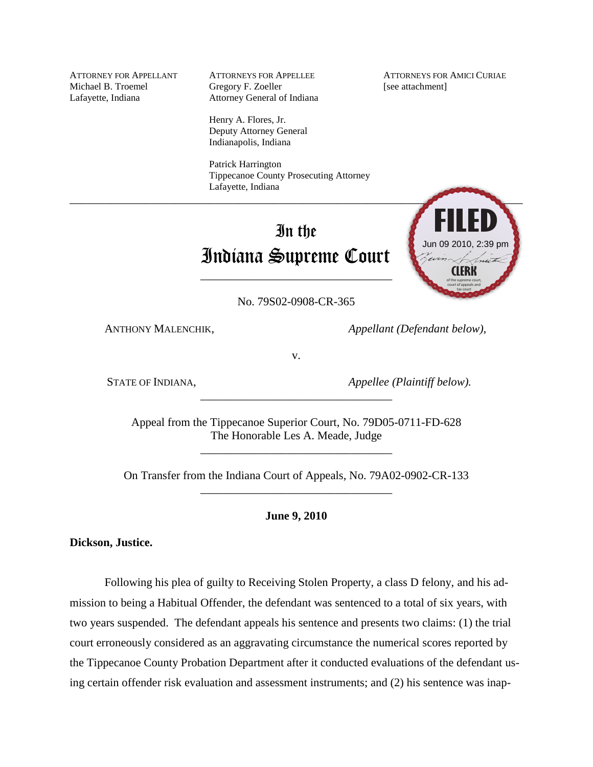Michael B. Troemel Gregory F. Zoeller [see attachment] Lafayette, Indiana Attorney General of Indiana

> Henry A. Flores, Jr. Deputy Attorney General Indianapolis, Indiana

Patrick Harrington Tippecanoe County Prosecuting Attorney Lafayette, Indiana

# In the Indiana Supreme Court

\_\_\_\_\_\_\_\_\_\_\_\_\_\_\_\_\_\_\_\_\_\_\_\_\_\_\_\_\_\_\_\_\_

No. 79S02-0908-CR-365

ANTHONY MALENCHIK, *Appellant (Defendant below),* 

v.

STATE OF INDIANA, *Appellee (Plaintiff below).*

Appeal from the Tippecanoe Superior Court, No. 79D05-0711-FD-628 The Honorable Les A. Meade, Judge

\_\_\_\_\_\_\_\_\_\_\_\_\_\_\_\_\_\_\_\_\_\_\_\_\_\_\_\_\_\_\_\_\_

\_\_\_\_\_\_\_\_\_\_\_\_\_\_\_\_\_\_\_\_\_\_\_\_\_\_\_\_\_\_\_\_\_

On Transfer from the Indiana Court of Appeals, No. 79A02-0902-CR-133 \_\_\_\_\_\_\_\_\_\_\_\_\_\_\_\_\_\_\_\_\_\_\_\_\_\_\_\_\_\_\_\_\_

**June 9, 2010**

**Dickson, Justice.**

Following his plea of guilty to Receiving Stolen Property, a class D felony, and his admission to being a Habitual Offender, the defendant was sentenced to a total of six years, with two years suspended. The defendant appeals his sentence and presents two claims: (1) the trial court erroneously considered as an aggravating circumstance the numerical scores reported by the Tippecanoe County Probation Department after it conducted evaluations of the defendant us-**EXECUTE:**<br> **EXECUTE:**<br> **EXECUTE:**<br> **EXECUTE:**<br> **EXECUTE:**<br> **EXECUTE:**<br> **EXECUTE:**<br> **EXECUTE:**<br> **EXECUTE:**<br> **EXECUTE:**<br> **EXECUTE:**<br> **EXECUTE:**<br> **EXECUTE:**<br> **EXECUTE:**<br> **EXECUTE:**<br> **EXECUTE:**<br> **EXECUTE:**<br> **EXECUTE:**<br> **EXECU** 

 $\mathcal{L}$  , and the contract of the contract of the contract of the contract of the contract of the contract of the contract of the contract of the contract of the contract of the contract of the contract of the contract o **CLERK** of the supreme court, court of appeals and Jun 09 2010, 2:39 pm

ATTORNEY FOR APPELLANT ATTORNEYS FOR APPELLEE ATTORNEYS FOR AMICI CURIAE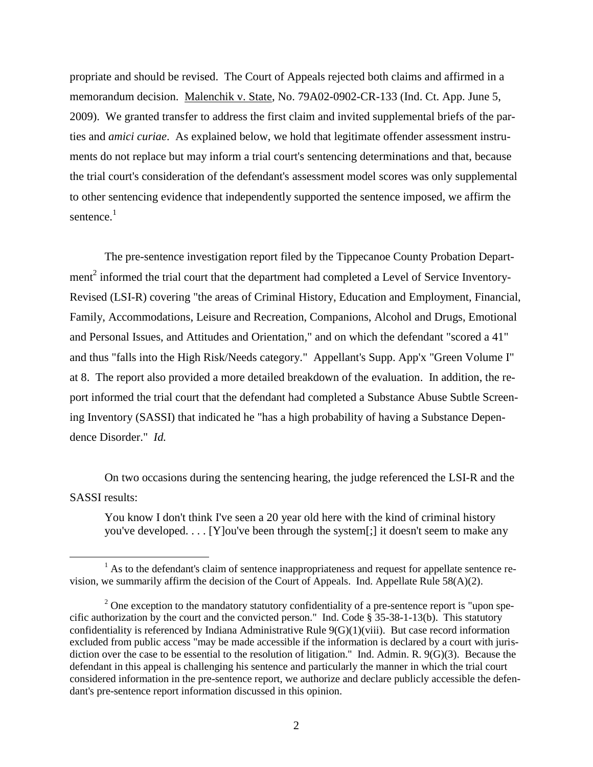propriate and should be revised. The Court of Appeals rejected both claims and affirmed in a memorandum decision. Malenchik v. State, No. 79A02-0902-CR-133 (Ind. Ct. App. June 5, 2009). We granted transfer to address the first claim and invited supplemental briefs of the parties and *amici curiae*. As explained below, we hold that legitimate offender assessment instruments do not replace but may inform a trial court's sentencing determinations and that, because the trial court's consideration of the defendant's assessment model scores was only supplemental to other sentencing evidence that independently supported the sentence imposed, we affirm the sentence.<sup>1</sup>

The pre-sentence investigation report filed by the Tippecanoe County Probation Department<sup>2</sup> informed the trial court that the department had completed a Level of Service Inventory-Revised (LSI-R) covering "the areas of Criminal History, Education and Employment, Financial, Family, Accommodations, Leisure and Recreation, Companions, Alcohol and Drugs, Emotional and Personal Issues, and Attitudes and Orientation," and on which the defendant "scored a 41" and thus "falls into the High Risk/Needs category." Appellant's Supp. App'x "Green Volume I" at 8. The report also provided a more detailed breakdown of the evaluation. In addition, the report informed the trial court that the defendant had completed a Substance Abuse Subtle Screening Inventory (SASSI) that indicated he "has a high probability of having a Substance Dependence Disorder." *Id.*

On two occasions during the sentencing hearing, the judge referenced the LSI-R and the SASSI results:

You know I don't think I've seen a 20 year old here with the kind of criminal history you've developed. . . . [Y]ou've been through the system[;] it doesn't seem to make any

 $<sup>1</sup>$  As to the defendant's claim of sentence inappropriateness and request for appellate sentence re-</sup> vision, we summarily affirm the decision of the Court of Appeals. Ind. Appellate Rule 58(A)(2).

 $2^2$  One exception to the mandatory statutory confidentiality of a pre-sentence report is "upon specific authorization by the court and the convicted person." Ind. Code § 35-38-1-13(b). This statutory confidentiality is referenced by Indiana Administrative Rule 9(G)(1)(viii). But case record information excluded from public access "may be made accessible if the information is declared by a court with jurisdiction over the case to be essential to the resolution of litigation." Ind. Admin. R. 9(G)(3). Because the defendant in this appeal is challenging his sentence and particularly the manner in which the trial court considered information in the pre-sentence report, we authorize and declare publicly accessible the defendant's pre-sentence report information discussed in this opinion.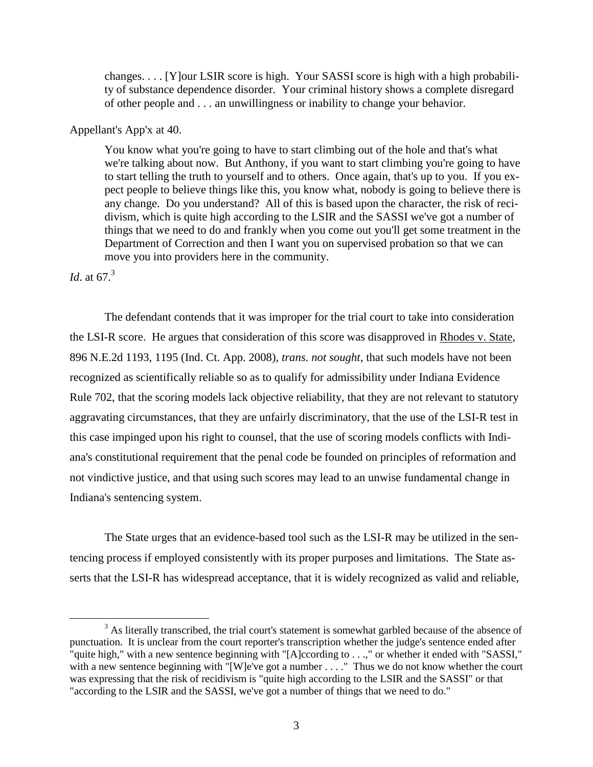changes. . . . [Y]our LSIR score is high. Your SASSI score is high with a high probability of substance dependence disorder. Your criminal history shows a complete disregard of other people and . . . an unwillingness or inability to change your behavior.

## Appellant's App'x at 40.

You know what you're going to have to start climbing out of the hole and that's what we're talking about now. But Anthony, if you want to start climbing you're going to have to start telling the truth to yourself and to others. Once again, that's up to you. If you expect people to believe things like this, you know what, nobody is going to believe there is any change. Do you understand? All of this is based upon the character, the risk of recidivism, which is quite high according to the LSIR and the SASSI we've got a number of things that we need to do and frankly when you come out you'll get some treatment in the Department of Correction and then I want you on supervised probation so that we can move you into providers here in the community.

# *Id.* at 67.<sup>3</sup>

 $\overline{a}$ 

The defendant contends that it was improper for the trial court to take into consideration the LSI-R score. He argues that consideration of this score was disapproved in Rhodes v. State, 896 N.E.2d 1193, 1195 (Ind. Ct. App. 2008), *trans. not sought*, that such models have not been recognized as scientifically reliable so as to qualify for admissibility under Indiana Evidence Rule 702, that the scoring models lack objective reliability, that they are not relevant to statutory aggravating circumstances, that they are unfairly discriminatory, that the use of the LSI-R test in this case impinged upon his right to counsel, that the use of scoring models conflicts with Indiana's constitutional requirement that the penal code be founded on principles of reformation and not vindictive justice, and that using such scores may lead to an unwise fundamental change in Indiana's sentencing system.

The State urges that an evidence-based tool such as the LSI-R may be utilized in the sentencing process if employed consistently with its proper purposes and limitations. The State asserts that the LSI-R has widespread acceptance, that it is widely recognized as valid and reliable,

 $3$  As literally transcribed, the trial court's statement is somewhat garbled because of the absence of punctuation. It is unclear from the court reporter's transcription whether the judge's sentence ended after quite high," with a new sentence beginning with "[A]ccording to . . .," or whether it ended with "SASSI," with a new sentence beginning with "[W]e've got a number . . . ." Thus we do not know whether the court was expressing that the risk of recidivism is "quite high according to the LSIR and the SASSI" or that "according to the LSIR and the SASSI, we've got a number of things that we need to do."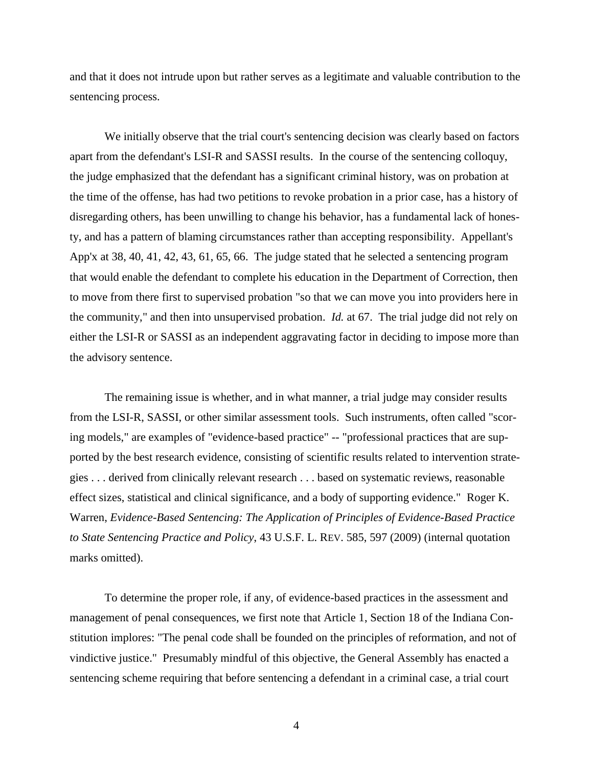and that it does not intrude upon but rather serves as a legitimate and valuable contribution to the sentencing process.

We initially observe that the trial court's sentencing decision was clearly based on factors apart from the defendant's LSI-R and SASSI results. In the course of the sentencing colloquy, the judge emphasized that the defendant has a significant criminal history, was on probation at the time of the offense, has had two petitions to revoke probation in a prior case, has a history of disregarding others, has been unwilling to change his behavior, has a fundamental lack of honesty, and has a pattern of blaming circumstances rather than accepting responsibility. Appellant's App'x at 38, 40, 41, 42, 43, 61, 65, 66. The judge stated that he selected a sentencing program that would enable the defendant to complete his education in the Department of Correction, then to move from there first to supervised probation "so that we can move you into providers here in the community," and then into unsupervised probation. *Id.* at 67. The trial judge did not rely on either the LSI-R or SASSI as an independent aggravating factor in deciding to impose more than the advisory sentence.

The remaining issue is whether, and in what manner, a trial judge may consider results from the LSI-R, SASSI, or other similar assessment tools. Such instruments, often called "scoring models," are examples of "evidence-based practice" -- "professional practices that are supported by the best research evidence, consisting of scientific results related to intervention strategies . . . derived from clinically relevant research . . . based on systematic reviews, reasonable effect sizes, statistical and clinical significance, and a body of supporting evidence." Roger K. Warren, *Evidence-Based Sentencing: The Application of Principles of Evidence-Based Practice to State Sentencing Practice and Policy*, 43 U.S.F. L. REV. 585, 597 (2009) (internal quotation marks omitted).

To determine the proper role, if any, of evidence-based practices in the assessment and management of penal consequences, we first note that Article 1, Section 18 of the Indiana Constitution implores: "The penal code shall be founded on the principles of reformation, and not of vindictive justice." Presumably mindful of this objective, the General Assembly has enacted a sentencing scheme requiring that before sentencing a defendant in a criminal case, a trial court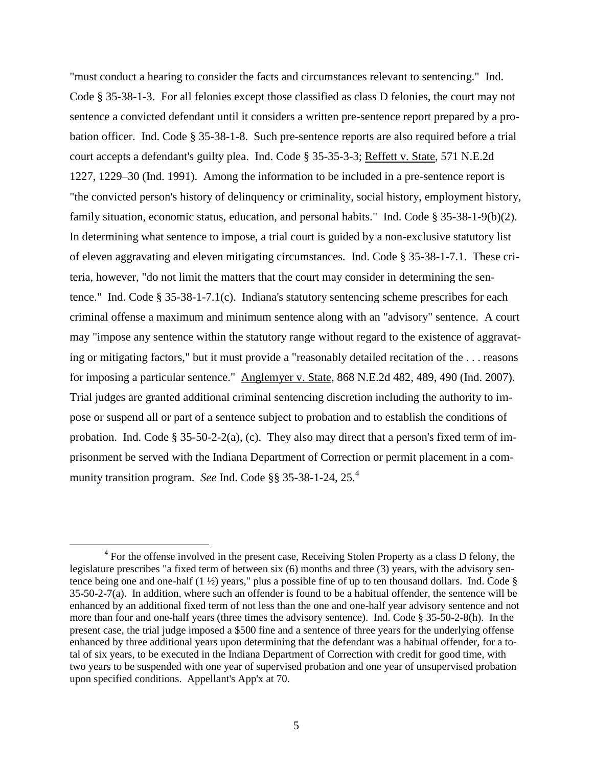"must conduct a hearing to consider the facts and circumstances relevant to sentencing." Ind. Code § 35-38-1-3. For all felonies except those classified as class D felonies, the court may not sentence a convicted defendant until it considers a written pre-sentence report prepared by a probation officer. Ind. Code § 35-38-1-8. Such pre-sentence reports are also required before a trial court accepts a defendant's guilty plea. Ind. Code § 35-35-3-3; Reffett v. State, 571 N.E.2d 1227, 1229–30 (Ind. 1991). Among the information to be included in a pre-sentence report is "the convicted person's history of delinquency or criminality, social history, employment history, family situation, economic status, education, and personal habits." Ind. Code § 35-38-1-9(b)(2). In determining what sentence to impose, a trial court is guided by a non-exclusive statutory list of eleven aggravating and eleven mitigating circumstances. Ind. Code § 35-38-1-7.1. These criteria, however, "do not limit the matters that the court may consider in determining the sentence." Ind. Code § 35-38-1-7.1(c). Indiana's statutory sentencing scheme prescribes for each criminal offense a maximum and minimum sentence along with an "advisory" sentence. A court may "impose any sentence within the statutory range without regard to the existence of aggravating or mitigating factors," but it must provide a "reasonably detailed recitation of the . . . reasons for imposing a particular sentence." Anglemyer v. State, 868 N.E.2d 482, 489, 490 (Ind. 2007). Trial judges are granted additional criminal sentencing discretion including the authority to impose or suspend all or part of a sentence subject to probation and to establish the conditions of probation. Ind. Code § 35-50-2-2(a), (c). They also may direct that a person's fixed term of imprisonment be served with the Indiana Department of Correction or permit placement in a community transition program. *See* Ind. Code §§ 35-38-1-24, 25.<sup>4</sup>

<sup>&</sup>lt;sup>4</sup> For the offense involved in the present case, Receiving Stolen Property as a class D felony, the legislature prescribes "a fixed term of between six (6) months and three (3) years, with the advisory sentence being one and one-half  $(1 \frac{1}{2})$  years," plus a possible fine of up to ten thousand dollars. Ind. Code § 35-50-2-7(a). In addition, where such an offender is found to be a habitual offender, the sentence will be enhanced by an additional fixed term of not less than the one and one-half year advisory sentence and not more than four and one-half years (three times the advisory sentence). Ind. Code § 35-50-2-8(h). In the present case, the trial judge imposed a \$500 fine and a sentence of three years for the underlying offense enhanced by three additional years upon determining that the defendant was a habitual offender, for a total of six years, to be executed in the Indiana Department of Correction with credit for good time, with two years to be suspended with one year of supervised probation and one year of unsupervised probation upon specified conditions. Appellant's App'x at 70.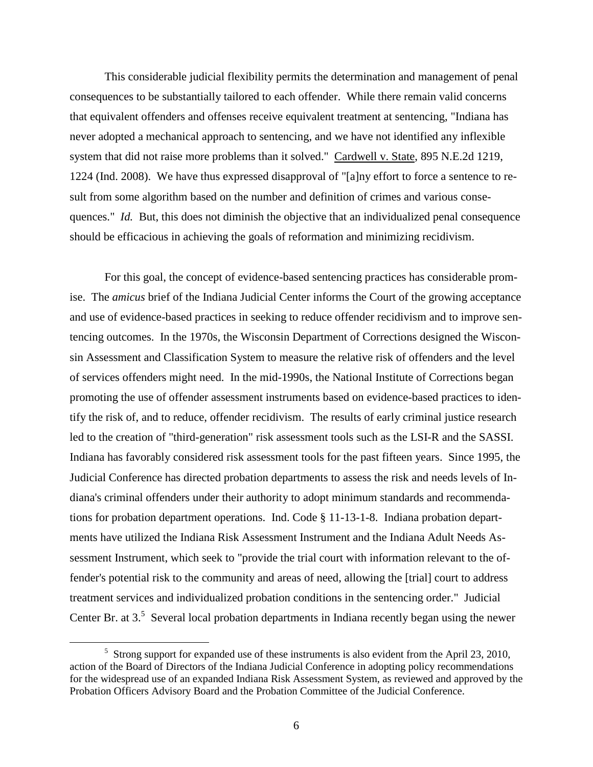This considerable judicial flexibility permits the determination and management of penal consequences to be substantially tailored to each offender. While there remain valid concerns that equivalent offenders and offenses receive equivalent treatment at sentencing, "Indiana has never adopted a mechanical approach to sentencing, and we have not identified any inflexible system that did not raise more problems than it solved." Cardwell v. State, 895 N.E.2d 1219, 1224 (Ind. 2008). We have thus expressed disapproval of "[a]ny effort to force a sentence to result from some algorithm based on the number and definition of crimes and various consequences." *Id.* But, this does not diminish the objective that an individualized penal consequence should be efficacious in achieving the goals of reformation and minimizing recidivism.

For this goal, the concept of evidence-based sentencing practices has considerable promise. The *amicus* brief of the Indiana Judicial Center informs the Court of the growing acceptance and use of evidence-based practices in seeking to reduce offender recidivism and to improve sentencing outcomes. In the 1970s, the Wisconsin Department of Corrections designed the Wisconsin Assessment and Classification System to measure the relative risk of offenders and the level of services offenders might need. In the mid-1990s, the National Institute of Corrections began promoting the use of offender assessment instruments based on evidence-based practices to identify the risk of, and to reduce, offender recidivism. The results of early criminal justice research led to the creation of "third-generation" risk assessment tools such as the LSI-R and the SASSI. Indiana has favorably considered risk assessment tools for the past fifteen years. Since 1995, the Judicial Conference has directed probation departments to assess the risk and needs levels of Indiana's criminal offenders under their authority to adopt minimum standards and recommendations for probation department operations. Ind. Code § 11-13-1-8. Indiana probation departments have utilized the Indiana Risk Assessment Instrument and the Indiana Adult Needs Assessment Instrument, which seek to "provide the trial court with information relevant to the offender's potential risk to the community and areas of need, allowing the [trial] court to address treatment services and individualized probation conditions in the sentencing order." Judicial Center Br. at  $3<sup>5</sup>$  Several local probation departments in Indiana recently began using the newer

 $5$  Strong support for expanded use of these instruments is also evident from the April 23, 2010, action of the Board of Directors of the Indiana Judicial Conference in adopting policy recommendations for the widespread use of an expanded Indiana Risk Assessment System, as reviewed and approved by the Probation Officers Advisory Board and the Probation Committee of the Judicial Conference.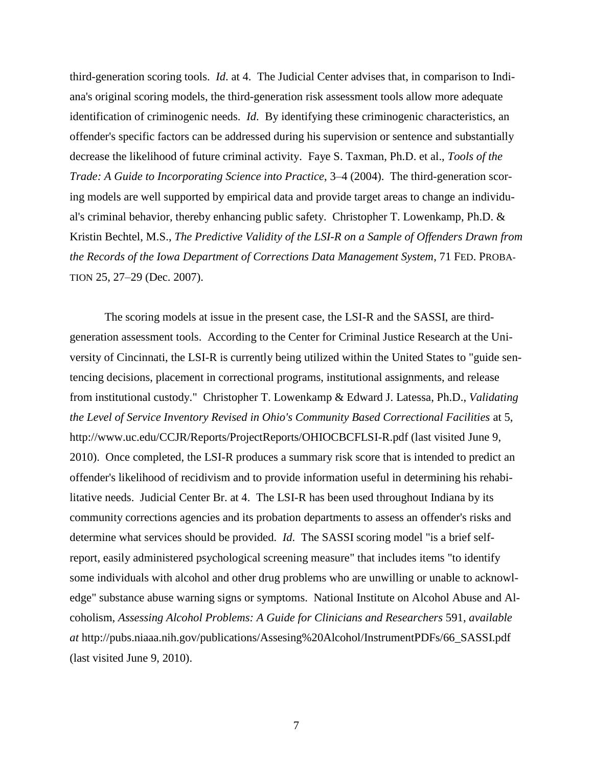third-generation scoring tools. *Id*. at 4. The Judicial Center advises that, in comparison to Indiana's original scoring models, the third-generation risk assessment tools allow more adequate identification of criminogenic needs. *Id*. By identifying these criminogenic characteristics, an offender's specific factors can be addressed during his supervision or sentence and substantially decrease the likelihood of future criminal activity. Faye S. Taxman, Ph.D. et al., *Tools of the Trade: A Guide to Incorporating Science into Practice*, 3–4 (2004). The third-generation scoring models are well supported by empirical data and provide target areas to change an individual's criminal behavior, thereby enhancing public safety. Christopher T. Lowenkamp, Ph.D. & Kristin Bechtel, M.S., *The Predictive Validity of the LSI-R on a Sample of Offenders Drawn from the Records of the Iowa Department of Corrections Data Management System*, 71 FED. PROBA-TION 25, 27–29 (Dec. 2007).

The scoring models at issue in the present case, the LSI-R and the SASSI, are thirdgeneration assessment tools. According to the Center for Criminal Justice Research at the University of Cincinnati, the LSI-R is currently being utilized within the United States to "guide sentencing decisions, placement in correctional programs, institutional assignments, and release from institutional custody." Christopher T. Lowenkamp & Edward J. Latessa, Ph.D., *Validating the Level of Service Inventory Revised in Ohio's Community Based Correctional Facilities* at 5, http://www.uc.edu/CCJR/Reports/ProjectReports/OHIOCBCFLSI-R.pdf (last visited June 9, 2010). Once completed, the LSI-R produces a summary risk score that is intended to predict an offender's likelihood of recidivism and to provide information useful in determining his rehabilitative needs. Judicial Center Br. at 4. The LSI-R has been used throughout Indiana by its community corrections agencies and its probation departments to assess an offender's risks and determine what services should be provided. *Id*. The SASSI scoring model "is a brief selfreport, easily administered psychological screening measure" that includes items "to identify some individuals with alcohol and other drug problems who are unwilling or unable to acknowledge" substance abuse warning signs or symptoms. National Institute on Alcohol Abuse and Alcoholism, *Assessing Alcohol Problems: A Guide for Clinicians and Researchers* 591, *available at* http://pubs.niaaa.nih.gov/publications/Assesing%20Alcohol/InstrumentPDFs/66\_SASSI.pdf (last visited June 9, 2010).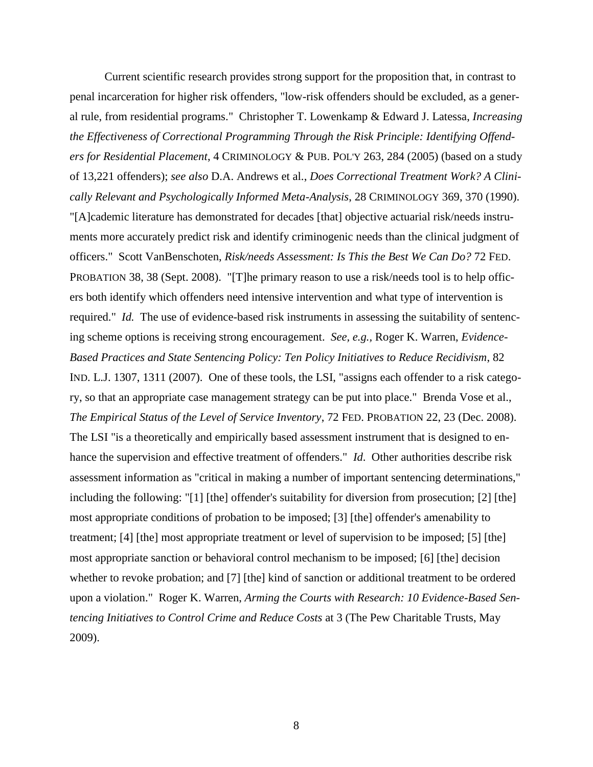Current scientific research provides strong support for the proposition that, in contrast to penal incarceration for higher risk offenders, "low-risk offenders should be excluded, as a general rule, from residential programs." Christopher T. Lowenkamp & Edward J. Latessa, *Increasing the Effectiveness of Correctional Programming Through the Risk Principle: Identifying Offenders for Residential Placement*, 4 CRIMINOLOGY & PUB. POL'Y 263, 284 (2005) (based on a study of 13,221 offenders); *see also* D.A. Andrews et al., *Does Correctional Treatment Work? A Clinically Relevant and Psychologically Informed Meta-Analysis*, 28 CRIMINOLOGY 369, 370 (1990). "[A]cademic literature has demonstrated for decades [that] objective actuarial risk/needs instruments more accurately predict risk and identify criminogenic needs than the clinical judgment of officers." Scott VanBenschoten, *Risk/needs Assessment: Is This the Best We Can Do?* 72 FED. PROBATION 38, 38 (Sept. 2008). "[T]he primary reason to use a risk/needs tool is to help officers both identify which offenders need intensive intervention and what type of intervention is required." *Id.* The use of evidence-based risk instruments in assessing the suitability of sentencing scheme options is receiving strong encouragement. *See, e.g.,* Roger K. Warren, *Evidence-Based Practices and State Sentencing Policy: Ten Policy Initiatives to Reduce Recidivism*, 82 IND. L.J. 1307, 1311 (2007). One of these tools, the LSI, "assigns each offender to a risk category, so that an appropriate case management strategy can be put into place." Brenda Vose et al., *The Empirical Status of the Level of Service Inventory*, 72 FED. PROBATION 22, 23 (Dec. 2008). The LSI "is a theoretically and empirically based assessment instrument that is designed to enhance the supervision and effective treatment of offenders." *Id*. Other authorities describe risk assessment information as "critical in making a number of important sentencing determinations," including the following: "[1] [the] offender's suitability for diversion from prosecution; [2] [the] most appropriate conditions of probation to be imposed; [3] [the] offender's amenability to treatment; [4] [the] most appropriate treatment or level of supervision to be imposed; [5] [the] most appropriate sanction or behavioral control mechanism to be imposed; [6] [the] decision whether to revoke probation; and [7] [the] kind of sanction or additional treatment to be ordered upon a violation." Roger K. Warren, *Arming the Courts with Research: 10 Evidence-Based Sentencing Initiatives to Control Crime and Reduce Costs* at 3 (The Pew Charitable Trusts, May 2009).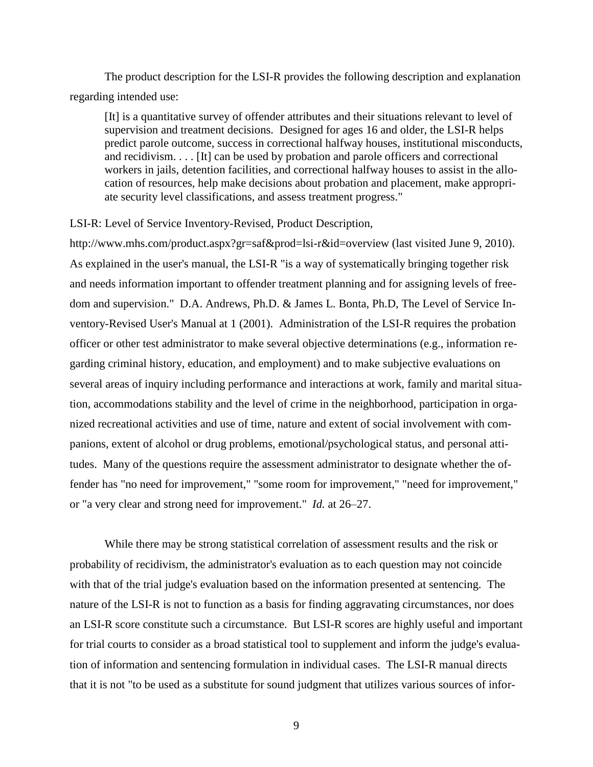The product description for the LSI-R provides the following description and explanation regarding intended use:

[It] is a quantitative survey of offender attributes and their situations relevant to level of supervision and treatment decisions. Designed for ages 16 and older, the LSI-R helps predict parole outcome, success in correctional halfway houses, institutional misconducts, and recidivism. . . . [It] can be used by probation and parole officers and correctional workers in jails, detention facilities, and correctional halfway houses to assist in the allocation of resources, help make decisions about probation and placement, make appropriate security level classifications, and assess treatment progress."

LSI-R: Level of Service Inventory-Revised, Product Description,

http://www.mhs.com/product.aspx?gr=saf&prod=lsi-r&id=overview (last visited June 9, 2010). As explained in the user's manual, the LSI-R "is a way of systematically bringing together risk and needs information important to offender treatment planning and for assigning levels of freedom and supervision." D.A. Andrews, Ph.D. & James L. Bonta, Ph.D, The Level of Service Inventory-Revised User's Manual at 1 (2001). Administration of the LSI-R requires the probation officer or other test administrator to make several objective determinations (e.g., information regarding criminal history, education, and employment) and to make subjective evaluations on several areas of inquiry including performance and interactions at work, family and marital situation, accommodations stability and the level of crime in the neighborhood, participation in organized recreational activities and use of time, nature and extent of social involvement with companions, extent of alcohol or drug problems, emotional/psychological status, and personal attitudes. Many of the questions require the assessment administrator to designate whether the offender has "no need for improvement," "some room for improvement," "need for improvement," or "a very clear and strong need for improvement." *Id.* at 26–27.

While there may be strong statistical correlation of assessment results and the risk or probability of recidivism, the administrator's evaluation as to each question may not coincide with that of the trial judge's evaluation based on the information presented at sentencing. The nature of the LSI-R is not to function as a basis for finding aggravating circumstances, nor does an LSI-R score constitute such a circumstance. But LSI-R scores are highly useful and important for trial courts to consider as a broad statistical tool to supplement and inform the judge's evaluation of information and sentencing formulation in individual cases. The LSI-R manual directs that it is not "to be used as a substitute for sound judgment that utilizes various sources of infor-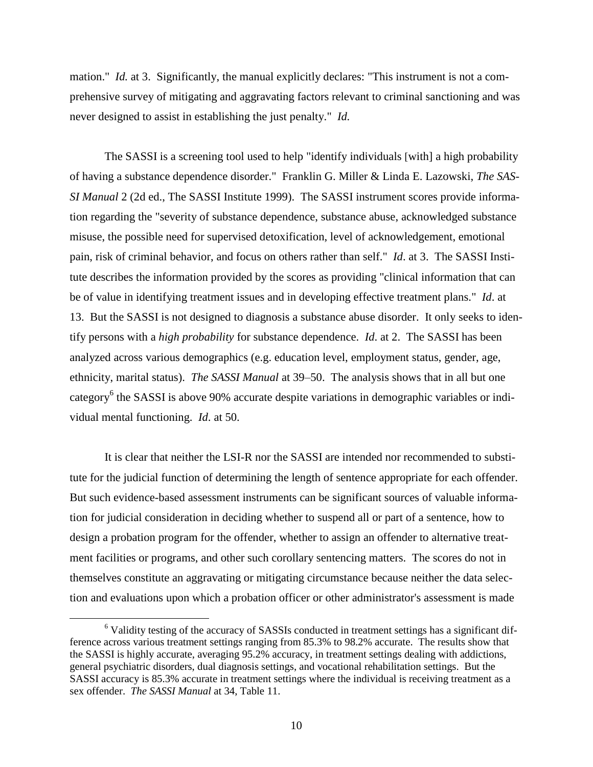mation." *Id.* at 3. Significantly, the manual explicitly declares: "This instrument is not a comprehensive survey of mitigating and aggravating factors relevant to criminal sanctioning and was never designed to assist in establishing the just penalty." *Id.*

The SASSI is a screening tool used to help "identify individuals [with] a high probability of having a substance dependence disorder." Franklin G. Miller & Linda E. Lazowski, *The SAS-SI Manual* 2 (2d ed., The SASSI Institute 1999). The SASSI instrument scores provide information regarding the "severity of substance dependence, substance abuse, acknowledged substance misuse, the possible need for supervised detoxification, level of acknowledgement, emotional pain, risk of criminal behavior, and focus on others rather than self." *Id*. at 3. The SASSI Institute describes the information provided by the scores as providing "clinical information that can be of value in identifying treatment issues and in developing effective treatment plans." *Id*. at 13. But the SASSI is not designed to diagnosis a substance abuse disorder. It only seeks to identify persons with a *high probability* for substance dependence. *Id*. at 2. The SASSI has been analyzed across various demographics (e.g. education level, employment status, gender, age, ethnicity, marital status). *The SASSI Manual* at 39–50. The analysis shows that in all but one category<sup>6</sup> the SASSI is above 90% accurate despite variations in demographic variables or individual mental functioning. *Id*. at 50.

It is clear that neither the LSI-R nor the SASSI are intended nor recommended to substitute for the judicial function of determining the length of sentence appropriate for each offender. But such evidence-based assessment instruments can be significant sources of valuable information for judicial consideration in deciding whether to suspend all or part of a sentence, how to design a probation program for the offender, whether to assign an offender to alternative treatment facilities or programs, and other such corollary sentencing matters. The scores do not in themselves constitute an aggravating or mitigating circumstance because neither the data selection and evaluations upon which a probation officer or other administrator's assessment is made

<sup>&</sup>lt;sup>6</sup> Validity testing of the accuracy of SASSIs conducted in treatment settings has a significant difference across various treatment settings ranging from 85.3% to 98.2% accurate. The results show that the SASSI is highly accurate, averaging 95.2% accuracy, in treatment settings dealing with addictions, general psychiatric disorders, dual diagnosis settings, and vocational rehabilitation settings. But the SASSI accuracy is 85.3% accurate in treatment settings where the individual is receiving treatment as a sex offender. *The SASSI Manual* at 34, Table 11.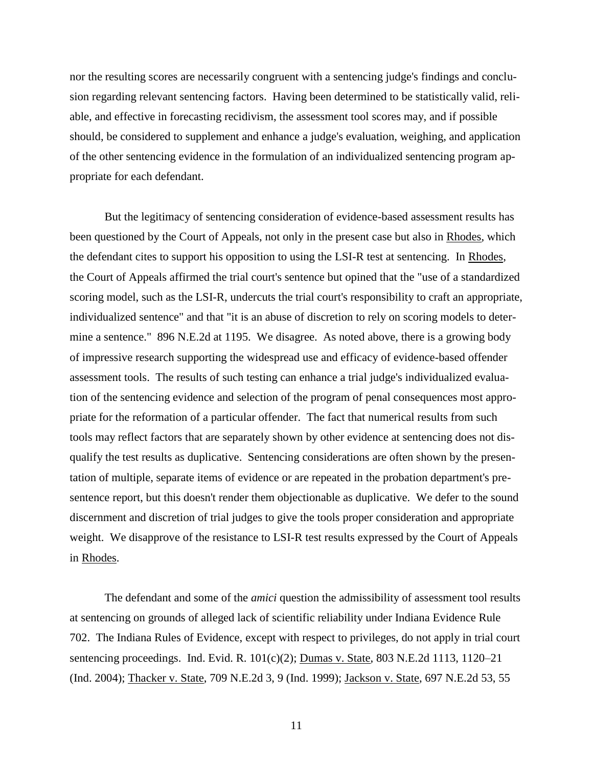nor the resulting scores are necessarily congruent with a sentencing judge's findings and conclusion regarding relevant sentencing factors. Having been determined to be statistically valid, reliable, and effective in forecasting recidivism, the assessment tool scores may, and if possible should, be considered to supplement and enhance a judge's evaluation, weighing, and application of the other sentencing evidence in the formulation of an individualized sentencing program appropriate for each defendant.

But the legitimacy of sentencing consideration of evidence-based assessment results has been questioned by the Court of Appeals, not only in the present case but also in Rhodes, which the defendant cites to support his opposition to using the LSI-R test at sentencing. In Rhodes, the Court of Appeals affirmed the trial court's sentence but opined that the "use of a standardized scoring model, such as the LSI-R, undercuts the trial court's responsibility to craft an appropriate, individualized sentence" and that "it is an abuse of discretion to rely on scoring models to determine a sentence." 896 N.E.2d at 1195. We disagree. As noted above, there is a growing body of impressive research supporting the widespread use and efficacy of evidence-based offender assessment tools. The results of such testing can enhance a trial judge's individualized evaluation of the sentencing evidence and selection of the program of penal consequences most appropriate for the reformation of a particular offender. The fact that numerical results from such tools may reflect factors that are separately shown by other evidence at sentencing does not disqualify the test results as duplicative. Sentencing considerations are often shown by the presentation of multiple, separate items of evidence or are repeated in the probation department's presentence report, but this doesn't render them objectionable as duplicative. We defer to the sound discernment and discretion of trial judges to give the tools proper consideration and appropriate weight. We disapprove of the resistance to LSI-R test results expressed by the Court of Appeals in Rhodes.

The defendant and some of the *amici* question the admissibility of assessment tool results at sentencing on grounds of alleged lack of scientific reliability under Indiana Evidence Rule 702. The Indiana Rules of Evidence, except with respect to privileges, do not apply in trial court sentencing proceedings. Ind. Evid. R. 101(c)(2); Dumas v. State, 803 N.E.2d 1113, 1120–21 (Ind. 2004); Thacker v. State, 709 N.E.2d 3, 9 (Ind. 1999); Jackson v. State, 697 N.E.2d 53, 55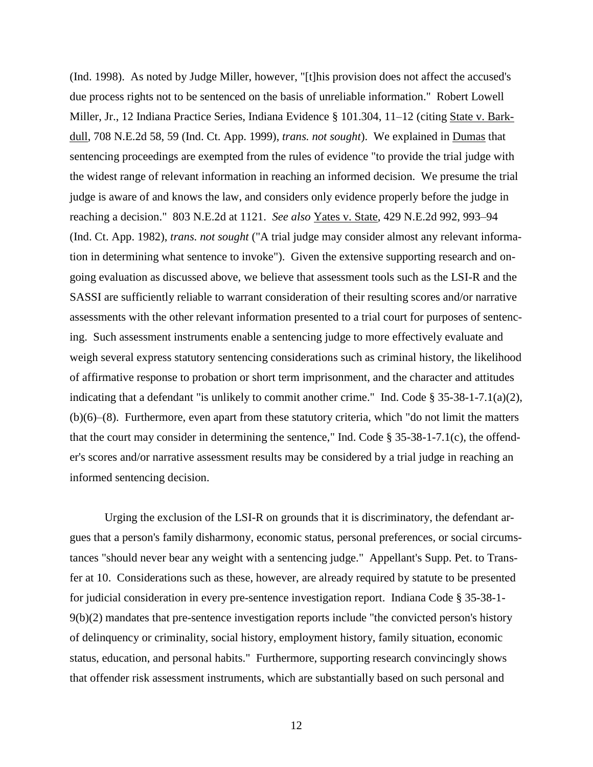(Ind. 1998). As noted by Judge Miller, however, "[t]his provision does not affect the accused's due process rights not to be sentenced on the basis of unreliable information." Robert Lowell Miller, Jr., 12 Indiana Practice Series, Indiana Evidence § 101.304, 11–12 (citing State v. Barkdull, 708 N.E.2d 58, 59 (Ind. Ct. App. 1999), *trans. not sought*). We explained in Dumas that sentencing proceedings are exempted from the rules of evidence "to provide the trial judge with the widest range of relevant information in reaching an informed decision. We presume the trial judge is aware of and knows the law, and considers only evidence properly before the judge in reaching a decision." 803 N.E.2d at 1121. *See also* Yates v. State, 429 N.E.2d 992, 993–94 (Ind. Ct. App. 1982), *trans. not sought* ("A trial judge may consider almost any relevant information in determining what sentence to invoke"). Given the extensive supporting research and ongoing evaluation as discussed above, we believe that assessment tools such as the LSI-R and the SASSI are sufficiently reliable to warrant consideration of their resulting scores and/or narrative assessments with the other relevant information presented to a trial court for purposes of sentencing. Such assessment instruments enable a sentencing judge to more effectively evaluate and weigh several express statutory sentencing considerations such as criminal history, the likelihood of affirmative response to probation or short term imprisonment, and the character and attitudes indicating that a defendant "is unlikely to commit another crime." Ind. Code § 35-38-1-7.1(a)(2), (b)(6)–(8). Furthermore, even apart from these statutory criteria, which "do not limit the matters that the court may consider in determining the sentence," Ind. Code  $\S 35-38-1-7.1(c)$ , the offender's scores and/or narrative assessment results may be considered by a trial judge in reaching an informed sentencing decision.

Urging the exclusion of the LSI-R on grounds that it is discriminatory, the defendant argues that a person's family disharmony, economic status, personal preferences, or social circumstances "should never bear any weight with a sentencing judge." Appellant's Supp. Pet. to Transfer at 10. Considerations such as these, however, are already required by statute to be presented for judicial consideration in every pre-sentence investigation report. Indiana Code § 35-38-1- 9(b)(2) mandates that pre-sentence investigation reports include "the convicted person's history of delinquency or criminality, social history, employment history, family situation, economic status, education, and personal habits." Furthermore, supporting research convincingly shows that offender risk assessment instruments, which are substantially based on such personal and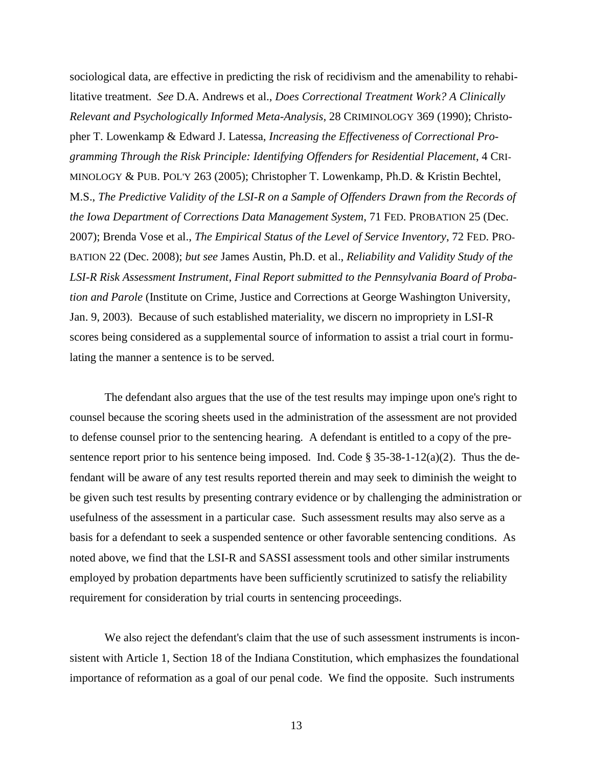sociological data, are effective in predicting the risk of recidivism and the amenability to rehabilitative treatment. *See* D.A. Andrews et al., *Does Correctional Treatment Work? A Clinically Relevant and Psychologically Informed Meta-Analysis*, 28 CRIMINOLOGY 369 (1990); Christopher T. Lowenkamp & Edward J. Latessa, *Increasing the Effectiveness of Correctional Programming Through the Risk Principle: Identifying Offenders for Residential Placement*, 4 CRI-MINOLOGY & PUB. POL'Y 263 (2005); Christopher T. Lowenkamp, Ph.D. & Kristin Bechtel, M.S., *The Predictive Validity of the LSI-R on a Sample of Offenders Drawn from the Records of the Iowa Department of Corrections Data Management System*, 71 FED. PROBATION 25 (Dec. 2007); Brenda Vose et al., *The Empirical Status of the Level of Service Inventory*, 72 FED. PRO-BATION 22 (Dec. 2008); *but see* James Austin, Ph.D. et al., *Reliability and Validity Study of the LSI-R Risk Assessment Instrument*, *Final Report submitted to the Pennsylvania Board of Probation and Parole* (Institute on Crime, Justice and Corrections at George Washington University, Jan. 9, 2003). Because of such established materiality, we discern no impropriety in LSI-R scores being considered as a supplemental source of information to assist a trial court in formulating the manner a sentence is to be served.

The defendant also argues that the use of the test results may impinge upon one's right to counsel because the scoring sheets used in the administration of the assessment are not provided to defense counsel prior to the sentencing hearing. A defendant is entitled to a copy of the presentence report prior to his sentence being imposed. Ind. Code  $\S 35-38-1-12(a)(2)$ . Thus the defendant will be aware of any test results reported therein and may seek to diminish the weight to be given such test results by presenting contrary evidence or by challenging the administration or usefulness of the assessment in a particular case. Such assessment results may also serve as a basis for a defendant to seek a suspended sentence or other favorable sentencing conditions. As noted above, we find that the LSI-R and SASSI assessment tools and other similar instruments employed by probation departments have been sufficiently scrutinized to satisfy the reliability requirement for consideration by trial courts in sentencing proceedings.

We also reject the defendant's claim that the use of such assessment instruments is inconsistent with Article 1, Section 18 of the Indiana Constitution, which emphasizes the foundational importance of reformation as a goal of our penal code. We find the opposite. Such instruments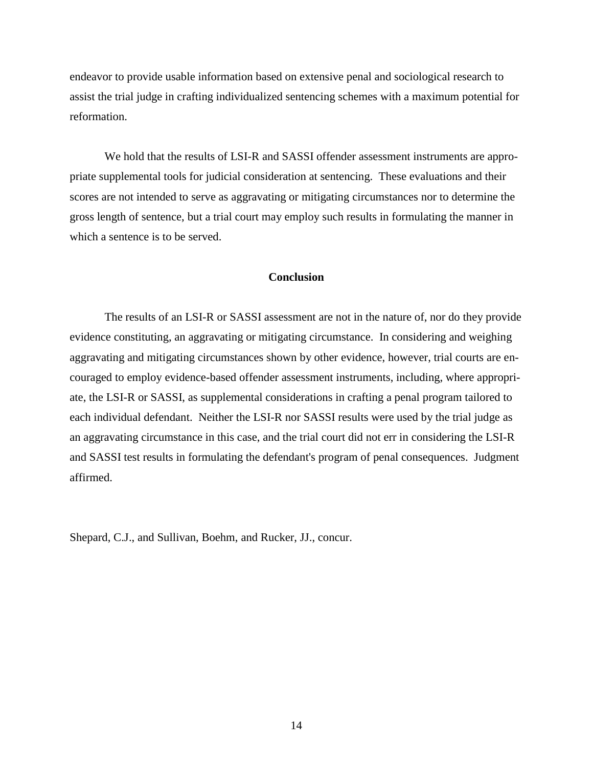endeavor to provide usable information based on extensive penal and sociological research to assist the trial judge in crafting individualized sentencing schemes with a maximum potential for reformation.

We hold that the results of LSI-R and SASSI offender assessment instruments are appropriate supplemental tools for judicial consideration at sentencing. These evaluations and their scores are not intended to serve as aggravating or mitigating circumstances nor to determine the gross length of sentence, but a trial court may employ such results in formulating the manner in which a sentence is to be served.

### **Conclusion**

The results of an LSI-R or SASSI assessment are not in the nature of, nor do they provide evidence constituting, an aggravating or mitigating circumstance. In considering and weighing aggravating and mitigating circumstances shown by other evidence, however, trial courts are encouraged to employ evidence-based offender assessment instruments, including, where appropriate, the LSI-R or SASSI, as supplemental considerations in crafting a penal program tailored to each individual defendant. Neither the LSI-R nor SASSI results were used by the trial judge as an aggravating circumstance in this case, and the trial court did not err in considering the LSI-R and SASSI test results in formulating the defendant's program of penal consequences. Judgment affirmed.

Shepard, C.J., and Sullivan, Boehm, and Rucker, JJ., concur.